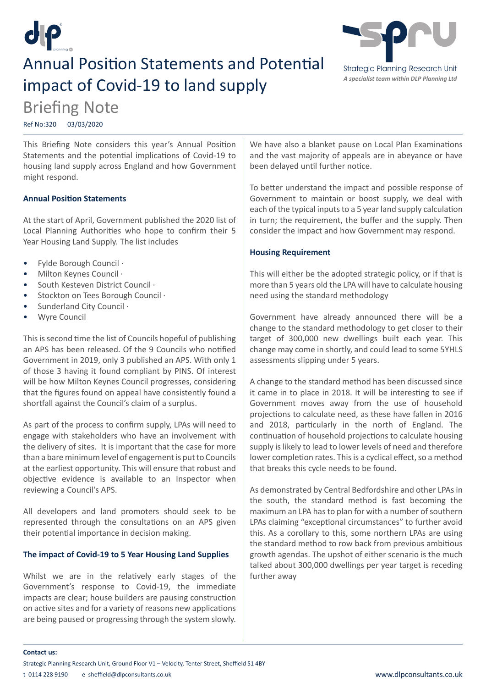

# **Annual Position Statements and Potential** impact of Covid-19 to land supply



# Briefing Note

Ref No:320 03/03/2020

This Briefing Note considers this year's Annual Position Statements and the potential implications of Covid-19 to housing land supply across England and how Government might respond.

## **Annual Position Statements**

At the start of April, Government published the 2020 list of Local Planning Authorities who hope to confirm their 5 Year Housing Land Supply. The list includes

- Fylde Borough Council ·
- Milton Keynes Council ·
- South Kesteven District Council ·
- Stockton on Tees Borough Council ·
- Sunderland City Council ·
- Wyre Council

This is second time the list of Councils hopeful of publishing an APS has been released. Of the 9 Councils who notified Government in 2019, only 3 published an APS. With only 1 of those 3 having it found compliant by PINS. Of interest will be how Milton Keynes Council progresses, considering that the figures found on appeal have consistently found a shortfall against the Council's claim of a surplus.

As part of the process to confirm supply, LPAs will need to engage with stakeholders who have an involvement with the delivery of sites. It is important that the case for more than a bare minimum level of engagement is put to Councils at the earliest opportunity. This will ensure that robust and objective evidence is available to an Inspector when reviewing a Council's APS.

All developers and land promoters should seek to be represented through the consultations on an APS given their potential importance in decision making.

## **The impact of Covid-19 to 5 Year Housing Land Supplies**

Whilst we are in the relatively early stages of the Government's response to Covid-19, the immediate impacts are clear; house builders are pausing construction on active sites and for a variety of reasons new applications are being paused or progressing through the system slowly.

We have also a blanket pause on Local Plan Examinations and the vast majority of appeals are in abeyance or have been delayed until further notice.

To better understand the impact and possible response of Government to maintain or boost supply, we deal with each of the typical inputs to a 5 year land supply calculation in turn; the requirement, the buffer and the supply. Then consider the impact and how Government may respond.

## **Housing Requirement**

This will either be the adopted strategic policy, or if that is more than 5 years old the LPA will have to calculate housing need using the standard methodology

Government have already announced there will be a change to the standard methodology to get closer to their target of 300,000 new dwellings built each year. This change may come in shortly, and could lead to some 5YHLS assessments slipping under 5 years.

A change to the standard method has been discussed since it came in to place in 2018. It will be interesting to see if Government moves away from the use of household projections to calculate need, as these have fallen in 2016 and 2018, particularly in the north of England. The continuation of household projections to calculate housing supply is likely to lead to lower levels of need and therefore lower completion rates. This is a cyclical effect, so a method that breaks this cycle needs to be found.

As demonstrated by Central Bedfordshire and other LPAs in the south, the standard method is fast becoming the maximum an LPA has to plan for with a number of southern LPAs claiming "exceptional circumstances" to further avoid this. As a corollary to this, some northern LPAs are using the standard method to row back from previous ambitious growth agendas. The upshot of either scenario is the much talked about 300,000 dwellings per year target is receding further away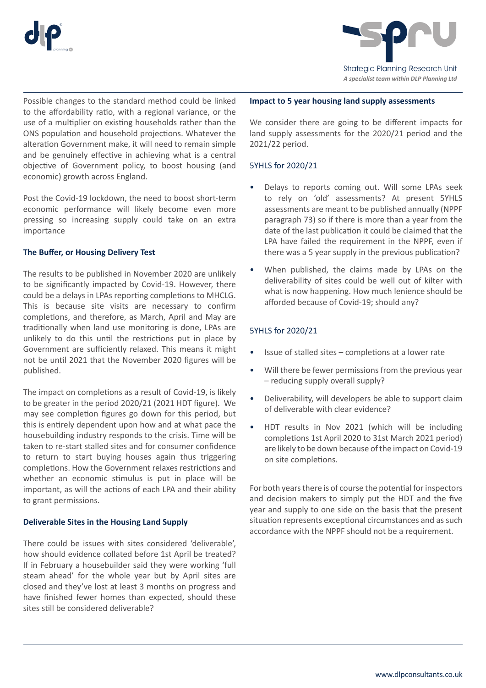



Possible changes to the standard method could be linked to the affordability ratio, with a regional variance, or the use of a multiplier on existing households rather than the ONS population and household projections. Whatever the alteration Government make, it will need to remain simple and be genuinely effective in achieving what is a central objective of Government policy, to boost housing (and economic) growth across England.

Post the Covid-19 lockdown, the need to boost short-term economic performance will likely become even more pressing so increasing supply could take on an extra importance

# **The Buffer, or Housing Delivery Test**

The results to be published in November 2020 are unlikely to be significantly impacted by Covid-19. However, there could be a delays in LPAs reporting completions to MHCLG. This is because site visits are necessary to confirm completions, and therefore, as March, April and May are traditionally when land use monitoring is done, LPAs are unlikely to do this until the restrictions put in place by Government are sufficiently relaxed. This means it might not be until 2021 that the November 2020 figures will be published.

The impact on completions as a result of Covid-19, is likely to be greater in the period 2020/21 (2021 HDT figure). We may see completion figures go down for this period, but this is entirely dependent upon how and at what pace the housebuilding industry responds to the crisis. Time will be taken to re-start stalled sites and for consumer confidence to return to start buying houses again thus triggering completions. How the Government relaxes restrictions and whether an economic stimulus is put in place will be important, as will the actions of each LPA and their ability to grant permissions.

## **Deliverable Sites in the Housing Land Supply**

There could be issues with sites considered 'deliverable', how should evidence collated before 1st April be treated? If in February a housebuilder said they were working 'full steam ahead' for the whole year but by April sites are closed and they've lost at least 3 months on progress and have finished fewer homes than expected, should these sites still be considered deliverable?

#### **Impact to 5 year housing land supply assessments**

We consider there are going to be different impacts for land supply assessments for the 2020/21 period and the 2021/22 period.

## 5YHLS for 2020/21

- Delays to reports coming out. Will some LPAs seek to rely on 'old' assessments? At present 5YHLS assessments are meant to be published annually (NPPF paragraph 73) so if there is more than a year from the date of the last publication it could be claimed that the LPA have failed the requirement in the NPPF, even if there was a 5 year supply in the previous publication?
- When published, the claims made by LPAs on the deliverability of sites could be well out of kilter with what is now happening. How much lenience should be afforded because of Covid-19; should any?

## 5YHLS for 2020/21

- Issue of stalled sites completions at a lower rate
- Will there be fewer permissions from the previous year – reducing supply overall supply?
- Deliverability, will developers be able to support claim of deliverable with clear evidence?
- HDT results in Nov 2021 (which will be including completions 1st April 2020 to 31st March 2021 period) are likely to be down because of the impact on Covid-19 on site completions.

For both years there is of course the potential for inspectors and decision makers to simply put the HDT and the five year and supply to one side on the basis that the present situation represents exceptional circumstances and as such accordance with the NPPF should not be a requirement.